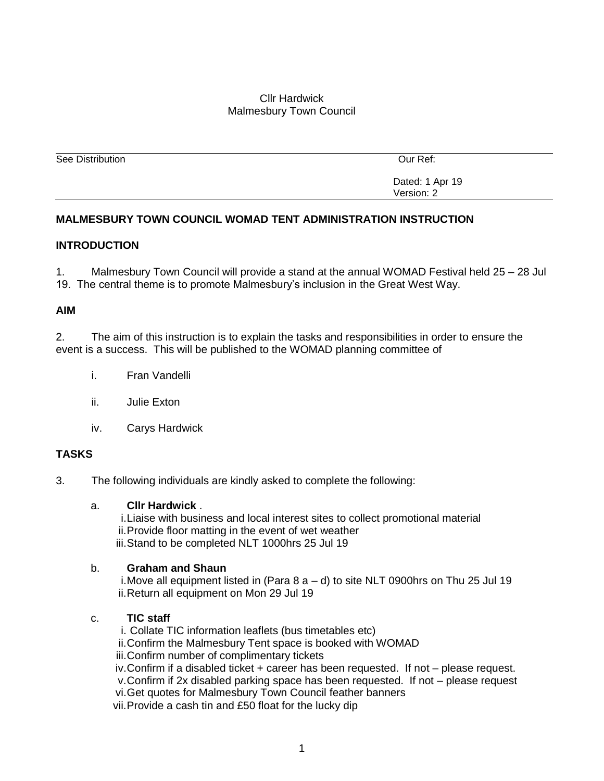### Cllr Hardwick Malmesbury Town Council

| See Distribution | Our Ref:        |
|------------------|-----------------|
|                  |                 |
|                  | Dated: 1 Apr 19 |
|                  | Version: 2      |

# **MALMESBURY TOWN COUNCIL WOMAD TENT ADMINISTRATION INSTRUCTION**

### **INTRODUCTION**

1. Malmesbury Town Council will provide a stand at the annual WOMAD Festival held 25 – 28 Jul 19. The central theme is to promote Malmesbury's inclusion in the Great West Way.

### **AIM**

2. The aim of this instruction is to explain the tasks and responsibilities in order to ensure the event is a success. This will be published to the WOMAD planning committee of

- i. Fran Vandelli
- ii. Julie Exton
- iv. Carys Hardwick

# **TASKS**

3. The following individuals are kindly asked to complete the following:

### a. **Cllr Hardwick** .

i.Liaise with business and local interest sites to collect promotional material ii.Provide floor matting in the event of wet weather iii.Stand to be completed NLT 1000hrs 25 Jul 19

### b. **Graham and Shaun**

i.Move all equipment listed in (Para 8 a – d) to site NLT 0900hrs on Thu 25 Jul 19 ii.Return all equipment on Mon 29 Jul 19

### c. **TIC staff**

i. Collate TIC information leaflets (bus timetables etc) ii.Confirm the Malmesbury Tent space is booked with WOMAD iii.Confirm number of complimentary tickets

iv.Confirm if a disabled ticket + career has been requested. If not – please request.

v.Confirm if 2x disabled parking space has been requested. If not – please request

vi.Get quotes for Malmesbury Town Council feather banners

vii.Provide a cash tin and £50 float for the lucky dip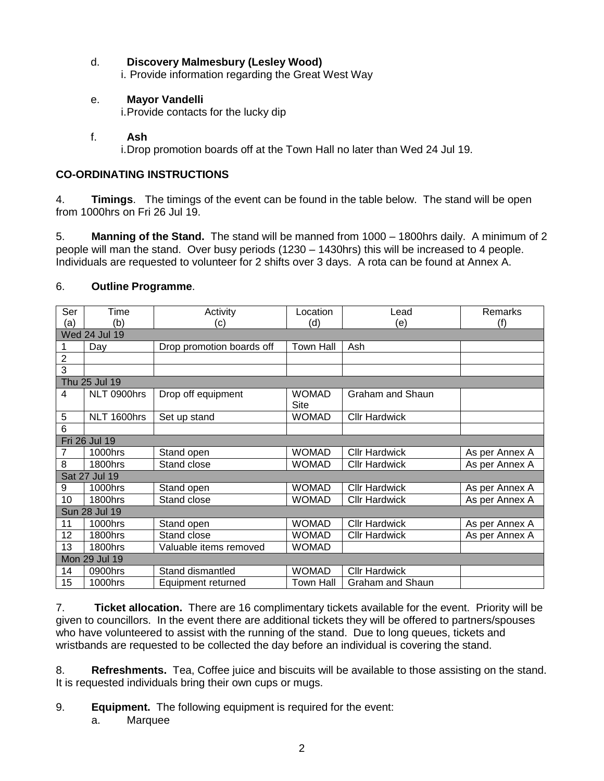# d. **Discovery Malmesbury (Lesley Wood)**

i. Provide information regarding the Great West Way

# e. **Mayor Vandelli**

i.Provide contacts for the lucky dip

# f. **Ash**

i.Drop promotion boards off at the Town Hall no later than Wed 24 Jul 19.

# **CO-ORDINATING INSTRUCTIONS**

4. **Timings**. The timings of the event can be found in the table below. The stand will be open from 1000hrs on Fri 26 Jul 19.

5. **Manning of the Stand.** The stand will be manned from 1000 – 1800hrs daily. A minimum of 2 people will man the stand. Over busy periods (1230 – 1430hrs) this will be increased to 4 people. Individuals are requested to volunteer for 2 shifts over 3 days. A rota can be found at Annex A.

# 6. **Outline Programme**.

| Ser            | Time                 | Activity                  | Location             | Lead                 | Remarks        |  |  |
|----------------|----------------------|---------------------------|----------------------|----------------------|----------------|--|--|
| (a)            | (b)                  | (c)                       | (d)                  | (e)                  | (f)            |  |  |
|                | <b>Wed 24 Jul 19</b> |                           |                      |                      |                |  |  |
| 1              | Day                  | Drop promotion boards off | <b>Town Hall</b>     | Ash                  |                |  |  |
| $\overline{2}$ |                      |                           |                      |                      |                |  |  |
| 3              |                      |                           |                      |                      |                |  |  |
|                | Thu 25 Jul 19        |                           |                      |                      |                |  |  |
| 4              | NLT 0900hrs          | Drop off equipment        | <b>WOMAD</b><br>Site | Graham and Shaun     |                |  |  |
| 5              | NLT 1600hrs          | Set up stand              | <b>WOMAD</b>         | <b>Cllr Hardwick</b> |                |  |  |
| 6              |                      |                           |                      |                      |                |  |  |
|                | Fri 26 Jul 19        |                           |                      |                      |                |  |  |
|                | 1000hrs              | Stand open                | <b>WOMAD</b>         | <b>Cllr Hardwick</b> | As per Annex A |  |  |
| 8              | 1800hrs              | Stand close               | <b>WOMAD</b>         | <b>Cllr Hardwick</b> | As per Annex A |  |  |
|                | Sat 27 Jul 19        |                           |                      |                      |                |  |  |
| 9              | 1000hrs              | Stand open                | <b>WOMAD</b>         | <b>Cllr Hardwick</b> | As per Annex A |  |  |
| 10             | 1800hrs              | Stand close               | <b>WOMAD</b>         | <b>Cllr Hardwick</b> | As per Annex A |  |  |
|                | Sun 28 Jul 19        |                           |                      |                      |                |  |  |
| 11             | 1000hrs              | Stand open                | <b>WOMAD</b>         | <b>Cllr Hardwick</b> | As per Annex A |  |  |
| 12             | 1800hrs              | Stand close               | <b>WOMAD</b>         | <b>Cllr Hardwick</b> | As per Annex A |  |  |
| 13             | 1800hrs              | Valuable items removed    | <b>WOMAD</b>         |                      |                |  |  |
| Mon 29 Jul 19  |                      |                           |                      |                      |                |  |  |
| 14             | 0900hrs              | Stand dismantled          | <b>WOMAD</b>         | <b>Cllr Hardwick</b> |                |  |  |
| 15             | 1000hrs              | Equipment returned        | Town Hall            | Graham and Shaun     |                |  |  |

7. **Ticket allocation.** There are 16 complimentary tickets available for the event. Priority will be given to councillors. In the event there are additional tickets they will be offered to partners/spouses who have volunteered to assist with the running of the stand. Due to long queues, tickets and wristbands are requested to be collected the day before an individual is covering the stand.

8. **Refreshments.** Tea, Coffee juice and biscuits will be available to those assisting on the stand. It is requested individuals bring their own cups or mugs.

- 9. **Equipment.** The following equipment is required for the event:
	- a. Marquee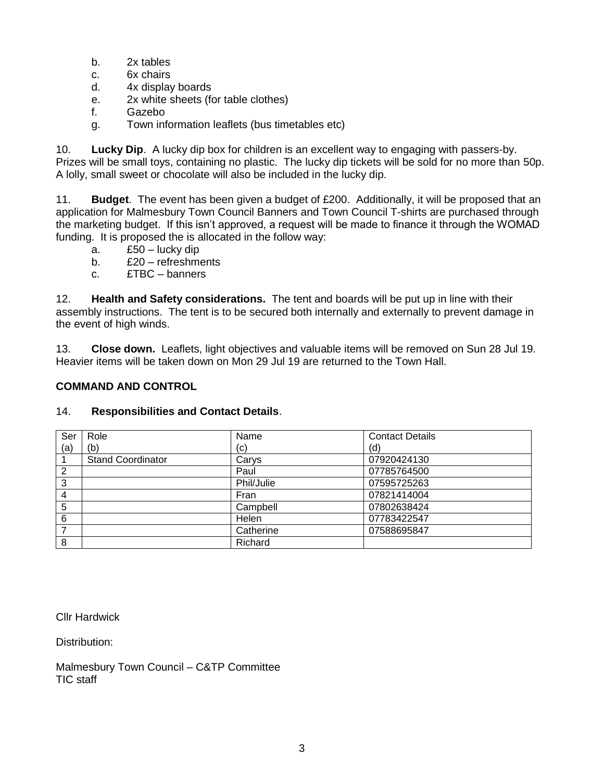- b. 2x tables
- c. 6x chairs
- d. 4x display boards
- e. 2x white sheets (for table clothes)
- f. Gazebo
- g. Town information leaflets (bus timetables etc)

10. **Lucky Dip**. A lucky dip box for children is an excellent way to engaging with passers-by. Prizes will be small toys, containing no plastic. The lucky dip tickets will be sold for no more than 50p. A lolly, small sweet or chocolate will also be included in the lucky dip.

11. **Budget**. The event has been given a budget of £200. Additionally, it will be proposed that an application for Malmesbury Town Council Banners and Town Council T-shirts are purchased through the marketing budget. If this isn't approved, a request will be made to finance it through the WOMAD funding. It is proposed the is allocated in the follow way:

- a. £50 lucky dip
- b. £20 refreshments
- c. £TBC banners

12. **Health and Safety considerations.** The tent and boards will be put up in line with their assembly instructions. The tent is to be secured both internally and externally to prevent damage in the event of high winds.

13. **Close down.** Leaflets, light objectives and valuable items will be removed on Sun 28 Jul 19. Heavier items will be taken down on Mon 29 Jul 19 are returned to the Town Hall.

# **COMMAND AND CONTROL**

# 14. **Responsibilities and Contact Details**.

| Ser | Role                     | Name       | <b>Contact Details</b> |
|-----|--------------------------|------------|------------------------|
| (a) | (b)                      | (c)        | (d)                    |
|     | <b>Stand Coordinator</b> | Carys      | 07920424130            |
| 2   |                          | Paul       | 07785764500            |
| 3   |                          | Phil/Julie | 07595725263            |
| 4   |                          | Fran       | 07821414004            |
| 5   |                          | Campbell   | 07802638424            |
| 6   |                          | Helen      | 07783422547            |
|     |                          | Catherine  | 07588695847            |
| 8   |                          | Richard    |                        |

Cllr Hardwick

Distribution:

Malmesbury Town Council – C&TP Committee TIC staff